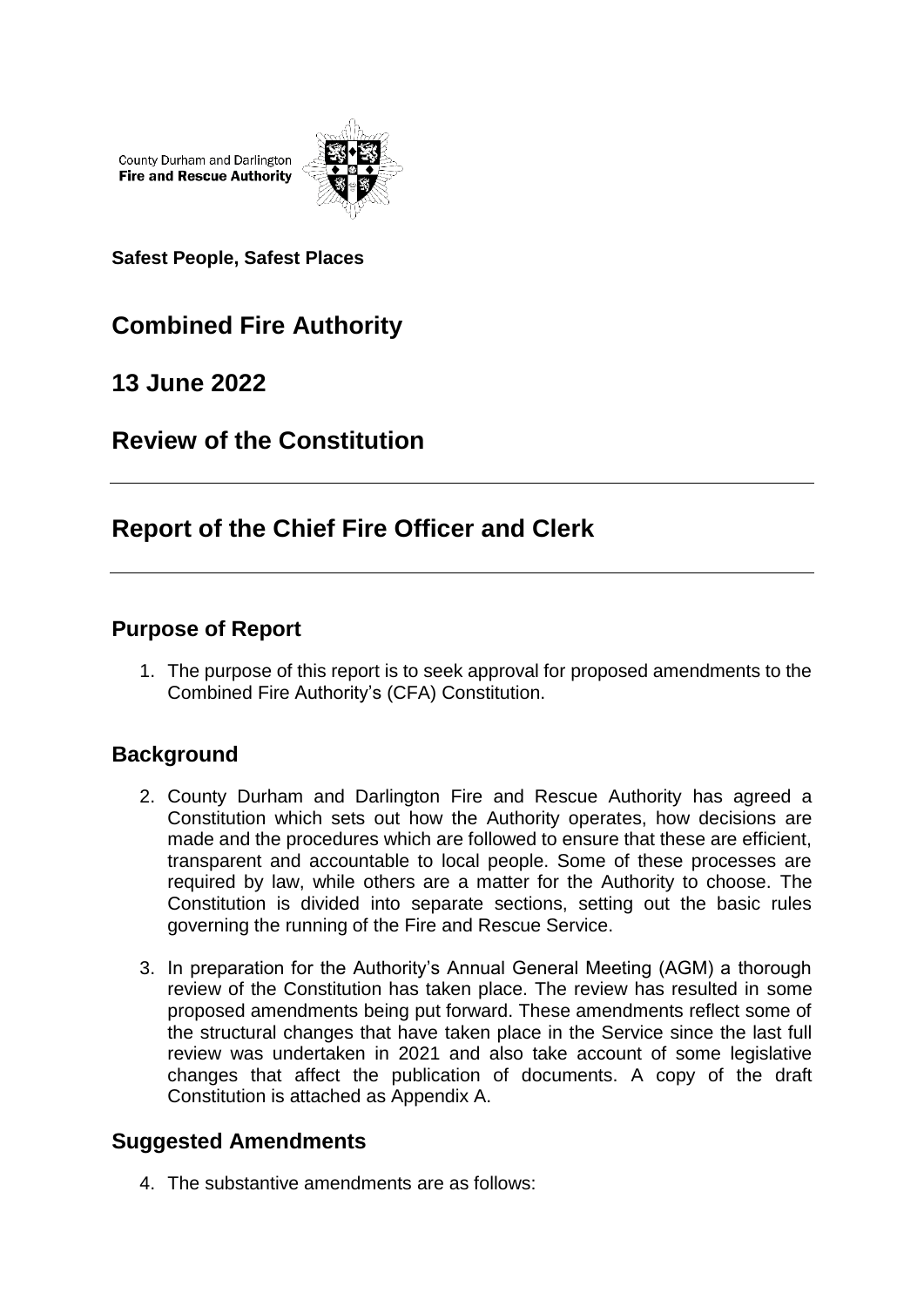County Durham and Darlington **Fire and Rescue Authority** 



**Safest People, Safest Places**

# **Combined Fire Authority**

## **13 June 2022**

## **Review of the Constitution**

## **Report of the Chief Fire Officer and Clerk**

### **Purpose of Report**

1. The purpose of this report is to seek approval for proposed amendments to the Combined Fire Authority's (CFA) Constitution.

### **Background**

- 2. County Durham and Darlington Fire and Rescue Authority has agreed a Constitution which sets out how the Authority operates, how decisions are made and the procedures which are followed to ensure that these are efficient, transparent and accountable to local people. Some of these processes are required by law, while others are a matter for the Authority to choose. The Constitution is divided into separate sections, setting out the basic rules governing the running of the Fire and Rescue Service.
- 3. In preparation for the Authority's Annual General Meeting (AGM) a thorough review of the Constitution has taken place. The review has resulted in some proposed amendments being put forward. These amendments reflect some of the structural changes that have taken place in the Service since the last full review was undertaken in 2021 and also take account of some legislative changes that affect the publication of documents. A copy of the draft Constitution is attached as Appendix A.

### **Suggested Amendments**

4. The substantive amendments are as follows: